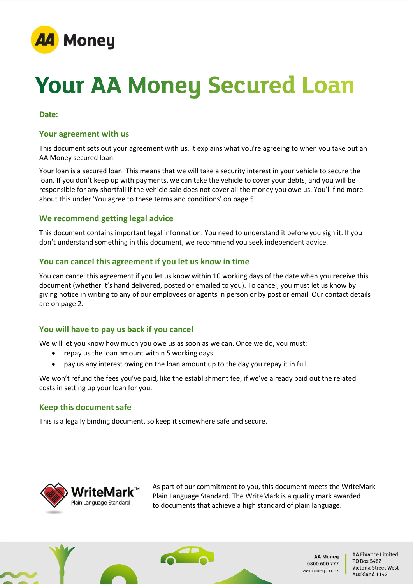

# **Your AA Money Secured Loan**

#### **Date:**

#### **Your agreement with us**

This document sets out your agreement with us. It explains what you're agreeing to when you take out an AA Money secured loan.

Your loan is a secured loan. This means that we will take a security interest in your vehicle to secure the loan. If you don't keep up with payments, we can take the vehicle to cover your debts, and you will be responsible for any shortfall if the vehicle sale does not cover all the money you owe us. You'll find more about this under 'You agree to these terms and conditions' on page 5.

# **We recommend getting legal advice**

This document contains important legal information. You need to understand it before you sign it. If you don't understand something in this document, we recommend you seek independent advice.

#### **You can cancel this agreement if you let us know in time**

You can cancel this agreement if you let us know within 10 working days of the date when you receive this document (whether it's hand delivered, posted or emailed to you). To cancel, you must let us know by giving notice in writing to any of our employees or agents in person or by post or email. Our contact details are on page 2.

# **You will have to pay us back if you cancel**

We will let you know how much you owe us as soon as we can. Once we do, you must:

- repay us the loan amount within 5 working days
- pay us any interest owing on the loan amount up to the day you repay it in full.

We won't refund the fees you've paid, like the establishment fee, if we've already paid out the related costs in setting up your loan for you.

#### **Keep this document safe**

This is a legally binding document, so keep it somewhere safe and secure.



As part of our commitment to you, this document meets the WriteMark Plain Language Standard. The WriteMark is a quality mark awarded to documents that achieve a high standard of plain language.



**AA Moneu** 0800 600 777 aamoney.co.nz **AA Finance Limited** PO Box 5462 Victoria Street West Auckland 1142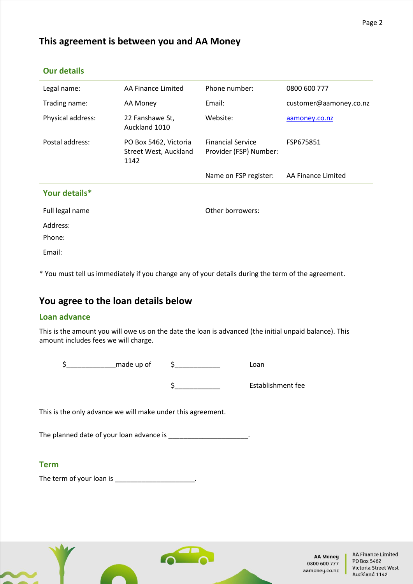# **This agreement is between you and AA Money**

| <b>Our details</b> |                                                        |                                                    |                        |
|--------------------|--------------------------------------------------------|----------------------------------------------------|------------------------|
| Legal name:        | AA Finance Limited                                     | Phone number:                                      | 0800 600 777           |
| Trading name:      | AA Money                                               | Email:                                             | customer@aamoney.co.nz |
| Physical address:  | 22 Fanshawe St,<br>Auckland 1010                       | Website:                                           | aamoney.co.nz          |
| Postal address:    | PO Box 5462, Victoria<br>Street West, Auckland<br>1142 | <b>Financial Service</b><br>Provider (FSP) Number: | FSP675851              |
|                    |                                                        | Name on FSP register:                              | AA Finance Limited     |
| Your details*      |                                                        |                                                    |                        |
| Full legal name    |                                                        | Other borrowers:                                   |                        |
| Address:<br>Phone: |                                                        |                                                    |                        |
| Email:             |                                                        |                                                    |                        |

\* You must tell us immediately if you change any of your details during the term of the agreement.

# **You agree to the loan details below**

# **Loan advance**

This is the amount you will owe us on the date the loan is advanced (the initial unpaid balance). This amount includes fees we will charge.

\$\_\_\_\_\_\_\_\_\_\_\_\_\_made up of \$\_\_\_\_\_\_\_\_\_\_\_\_ Loan \$\_\_\_\_\_\_\_\_\_\_\_\_ Establishment fee

This is the only advance we will make under this agreement.

The planned date of your loan advance is \_\_\_\_\_\_\_\_\_\_\_\_\_\_\_\_\_\_\_\_\_\_\_.

# **Term**

The term of your loan is \_\_\_\_\_\_\_\_\_\_\_\_\_\_\_\_\_\_\_\_\_\_\_.

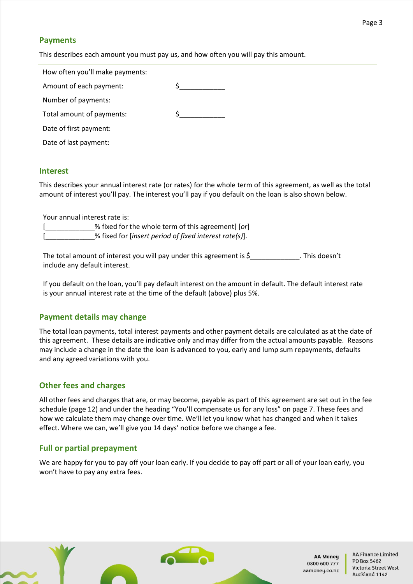# **Payments**

This describes each amount you must pay us, and how often you will pay this amount.

| How often you'll make payments: |  |
|---------------------------------|--|
| Amount of each payment:         |  |
| Number of payments:             |  |
| Total amount of payments:       |  |
| Date of first payment:          |  |
| Date of last payment:           |  |

#### **Interest**

This describes your annual interest rate (or rates) for the whole term of this agreement, as well as the total amount of interest you'll pay. The interest you'll pay if you default on the loan is also shown below.

Your annual interest rate is:

[\_\_\_\_\_\_\_\_\_\_\_\_\_% fixed for the whole term of this agreement] [*or*] [\_\_\_\_\_\_\_\_\_\_\_\_\_% fixed for [*insert period of fixed interest rate(s)*].

The total amount of interest you will pay under this agreement is \$\_\_\_\_\_\_\_\_\_\_\_\_\_\_. This doesn't include any default interest.

If you default on the loan, you'll pay default interest on the amount in default. The default interest rate is your annual interest rate at the time of the default (above) plus 5%.

#### **Payment details may change**

The total loan payments, total interest payments and other payment details are calculated as at the date of this agreement. These details are indicative only and may differ from the actual amounts payable. Reasons may include a change in the date the loan is advanced to you, early and lump sum repayments, defaults and any agreed variations with you.

#### **Other fees and charges**

All other fees and charges that are, or may become, payable as part of this agreement are set out in the fee schedule (page 12) and under the heading "You'll compensate us for any loss" on page 7. These fees and how we calculate them may change over time. We'll let you know what has changed and when it takes effect. Where we can, we'll give you 14 days' notice before we change a fee.

# **Full or partial prepayment**

We are happy for you to pay off your loan early. If you decide to pay off part or all of your loan early, you won't have to pay any extra fees.

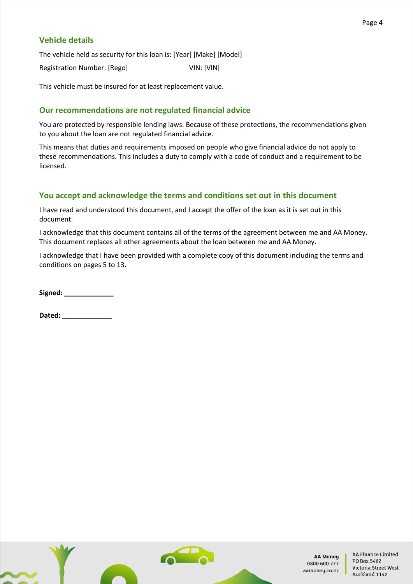# **Vehicle details**

The vehicle held as security for this loan is: [Year] [Make] [Model] Registration Number: [Rego] VIN: [VIN]

This vehicle must be insured for at least replacement value.

# **Our recommendations are not regulated financial advice**

You are protected by responsible lending laws. Because of these protections, the recommendations given to you about the loan are not regulated financial advice.

This means that duties and requirements imposed on people who give financial advice do not apply to these recommendations. This includes a duty to comply with a code of conduct and a requirement to be licensed.

# **You accept and acknowledge the terms and conditions set out in this document**

I have read and understood this document, and I accept the offer of the loan as it is set out in this document.

I acknowledge that this document contains all of the terms of the agreement between me and AA Money. This document replaces all other agreements about the loan between me and AA Money.

I acknowledge that I have been provided with a complete copy of this document including the terms and conditions on pages 5 to 13.

Signed:

**Dated: \_\_\_\_\_\_\_\_\_\_\_\_\_**

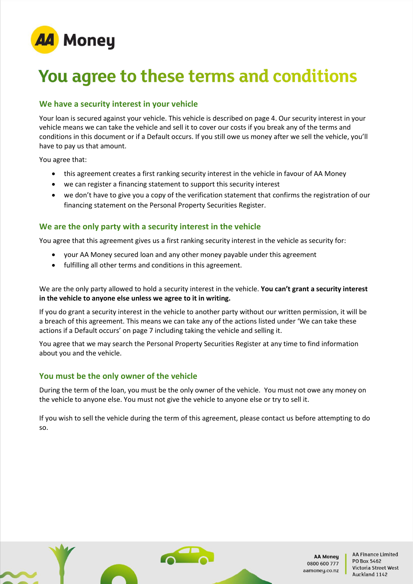

# You agree to these terms and conditions

# **We have a security interest in your vehicle**

Your loan is secured against your vehicle. This vehicle is described on page 4. Our security interest in your vehicle means we can take the vehicle and sell it to cover our costs if you break any of the terms and conditions in this document or if a Default occurs. If you still owe us money after we sell the vehicle, you'll have to pay us that amount.

You agree that:

- this agreement creates a first ranking security interest in the vehicle in favour of AA Money
- we can register a financing statement to support this security interest
- we don't have to give you a copy of the verification statement that confirms the registration of our financing statement on the Personal Property Securities Register.

# **We are the only party with a security interest in the vehicle**

You agree that this agreement gives us a first ranking security interest in the vehicle as security for:

- your AA Money secured loan and any other money payable under this agreement
- fulfilling all other terms and conditions in this agreement.

We are the only party allowed to hold a security interest in the vehicle. **You can't grant a security interest in the vehicle to anyone else unless we agree to it in writing.**

If you do grant a security interest in the vehicle to another party without our written permission, it will be a breach of this agreement. This means we can take any of the actions listed under 'We can take these actions if a Default occurs' on page 7 including taking the vehicle and selling it.

You agree that we may search the Personal Property Securities Register at any time to find information about you and the vehicle.

# **You must be the only owner of the vehicle**

During the term of the loan, you must be the only owner of the vehicle. You must not owe any money on the vehicle to anyone else. You must not give the vehicle to anyone else or try to sell it.

If you wish to sell the vehicle during the term of this agreement, please contact us before attempting to do so.

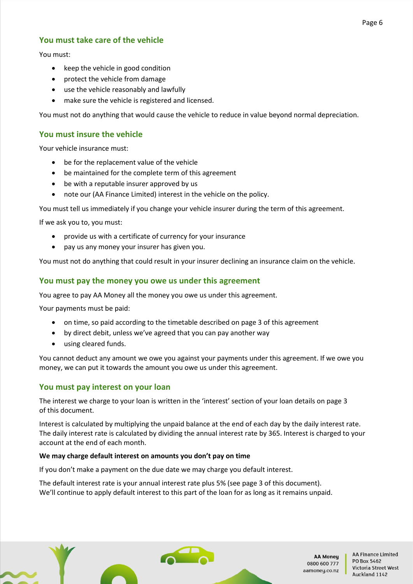# **You must take care of the vehicle**

You must:

- keep the vehicle in good condition
- protect the vehicle from damage
- use the vehicle reasonably and lawfully
- make sure the vehicle is registered and licensed.

You must not do anything that would cause the vehicle to reduce in value beyond normal depreciation.

# **You must insure the vehicle**

Your vehicle insurance must:

- be for the replacement value of the vehicle
- be maintained for the complete term of this agreement
- be with a reputable insurer approved by us
- note our (AA Finance Limited) interest in the vehicle on the policy.

You must tell us immediately if you change your vehicle insurer during the term of this agreement.

If we ask you to, you must:

- provide us with a certificate of currency for your insurance
- pay us any money your insurer has given you.

You must not do anything that could result in your insurer declining an insurance claim on the vehicle.

# **You must pay the money you owe us under this agreement**

You agree to pay AA Money all the money you owe us under this agreement.

Your payments must be paid:

- on time, so paid according to the timetable described on page 3 of this agreement
- by direct debit, unless we've agreed that you can pay another way
- using cleared funds.

You cannot deduct any amount we owe you against your payments under this agreement. If we owe you money, we can put it towards the amount you owe us under this agreement.

# **You must pay interest on your loan**

The interest we charge to your loan is written in the 'interest' section of your loan details on page 3 of this document.

Interest is calculated by multiplying the unpaid balance at the end of each day by the daily interest rate. The daily interest rate is calculated by dividing the annual interest rate by 365. Interest is charged to your account at the end of each month.

#### **We may charge default interest on amounts you don't pay on time**

If you don't make a payment on the due date we may charge you default interest.

The default interest rate is your annual interest rate plus 5% (see page 3 of this document). We'll continue to apply default interest to this part of the loan for as long as it remains unpaid.

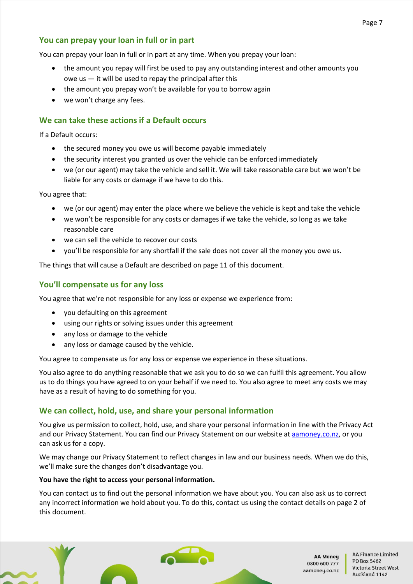# **You can prepay your loan in full or in part**

You can prepay your loan in full or in part at any time. When you prepay your loan:

- the amount you repay will first be used to pay any outstanding interest and other amounts you owe us  $-$  it will be used to repay the principal after this
- the amount you prepay won't be available for you to borrow again
- we won't charge any fees.

# **We can take these actions if a Default occurs**

If a Default occurs:

- the secured money you owe us will become payable immediately
- the security interest you granted us over the vehicle can be enforced immediately
- we (or our agent) may take the vehicle and sell it. We will take reasonable care but we won't be liable for any costs or damage if we have to do this.

You agree that:

- we (or our agent) may enter the place where we believe the vehicle is kept and take the vehicle
- we won't be responsible for any costs or damages if we take the vehicle, so long as we take reasonable care
- we can sell the vehicle to recover our costs
- you'll be responsible for any shortfall if the sale does not cover all the money you owe us.

The things that will cause a Default are described on page 11 of this document.

# **You'll compensate us for any loss**

You agree that we're not responsible for any loss or expense we experience from:

- you defaulting on this agreement
- using our rights or solving issues under this agreement
- any loss or damage to the vehicle
- any loss or damage caused by the vehicle.

You agree to compensate us for any loss or expense we experience in these situations.

You also agree to do anything reasonable that we ask you to do so we can fulfil this agreement. You allow us to do things you have agreed to on your behalf if we need to. You also agree to meet any costs we may have as a result of having to do something for you.

# **We can collect, hold, use, and share your personal information**

You give us permission to collect, hold, use, and share your personal information in line with the Privacy Act and our Privacy Statement. You can find our Privacy Statement on our website at **aamoney.co.nz**, or you can ask us for a copy.

We may change our Privacy Statement to reflect changes in law and our business needs. When we do this, we'll make sure the changes don't disadvantage you.

#### **You have the right to access your personal information.**

You can contact us to find out the personal information we have about you. You can also ask us to correct any incorrect information we hold about you. To do this, contact us using the contact details on page 2 of this document.

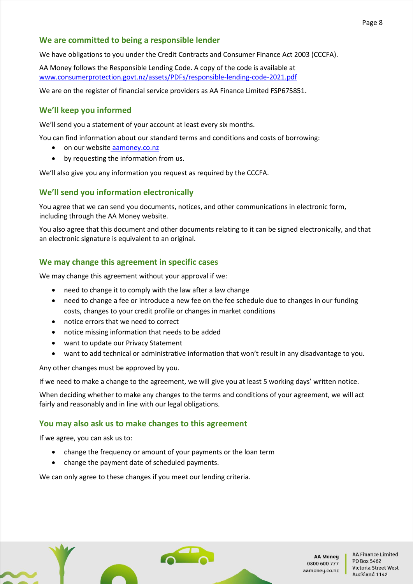# **We are committed to being a responsible lender**

We have obligations to you under the Credit Contracts and Consumer Finance Act 2003 (CCCFA).

AA Money follows the Responsible Lending Code. A copy of the code is available at [www.consumerprotection.govt.nz/assets/PDFs/responsible-lending-code-2021.pdf](http://www.consumerprotection.govt.nz/assets/PDFs/responsible-lending-code-2021.pdf)

We are on the register of financial service providers as AA Finance Limited FSP675851.

# **We'll keep you informed**

We'll send you a statement of your account at least every six months.

You can find information about our standard terms and conditions and costs of borrowing:

- on our website [aamoney.co.nz](http://www.aamoney.co.nz/)
- by requesting the information from us.

We'll also give you any information you request as required by the CCCFA.

# **We'll send you information electronically**

You agree that we can send you documents, notices, and other communications in electronic form, including through the AA Money website.

You also agree that this document and other documents relating to it can be signed electronically, and that an electronic signature is equivalent to an original.

# **We may change this agreement in specific cases**

We may change this agreement without your approval if we:

- need to change it to comply with the law after a law change
- need to change a fee or introduce a new fee on the fee schedule due to changes in our funding costs, changes to your credit profile or changes in market conditions
- notice errors that we need to correct
- notice missing information that needs to be added
- want to update our Privacy Statement
- want to add technical or administrative information that won't result in any disadvantage to you.

Any other changes must be approved by you.

If we need to make a change to the agreement, we will give you at least 5 working days' written notice.

When deciding whether to make any changes to the terms and conditions of your agreement, we will act fairly and reasonably and in line with our legal obligations.

# **You may also ask us to make changes to this agreement**

If we agree, you can ask us to:

- change the frequency or amount of your payments or the loan term
- change the payment date of scheduled payments.

We can only agree to these changes if you meet our lending criteria.

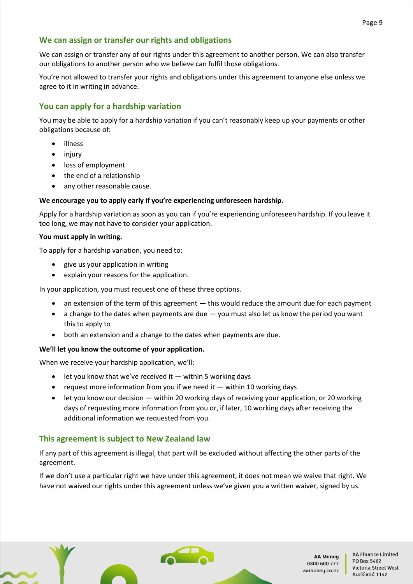# **We can assign or transfer our rights and obligations**

We can assign or transfer any of our rights under this agreement to another person. We can also transfer our obligations to another person who we believe can fulfil those obligations.

You're not allowed to transfer your rights and obligations under this agreement to anyone else unless we agree to it in writing in advance.

# **You can apply for a hardship variation**

You may be able to apply for a hardship variation if you can't reasonably keep up your payments or other obligations because of:

- illness
- injury
- loss of employment
- the end of a relationship
- any other reasonable cause.

# **We encourage you to apply early if you're experiencing unforeseen hardship.**

Apply for a hardship variation as soon as you can if you're experiencing unforeseen hardship. If you leave it too long, we may not have to consider your application.

#### **You must apply in writing.**

To apply for a hardship variation, you need to:

- give us your application in writing
- explain your reasons for the application.

In your application, you must request one of these three options.

- an extension of the term of this agreement this would reduce the amount due for each payment
- a change to the dates when payments are due you must also let us know the period you want this to apply to
- both an extension and a change to the dates when payments are due.

#### **We'll let you know the outcome of your application.**

When we receive your hardship application, we'll:

- $\bullet$  let you know that we've received it  $-$  within 5 working days
- request more information from you if we need it  $-$  within 10 working days
- let you know our decision within 20 working days of receiving your application, or 20 working days of requesting more information from you or, if later, 10 working days after receiving the additional information we requested from you.

# **This agreement is subject to New Zealand law**

If any part of this agreement is illegal, that part will be excluded without affecting the other parts of the agreement.

If we don't use a particular right we have under this agreement, it does not mean we waive that right. We have not waived our rights under this agreement unless we've given you a written waiver, signed by us.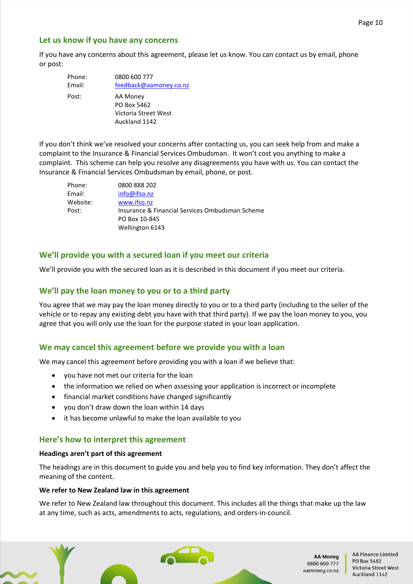# **Let us know if you have any concerns**

If you have any concerns about this agreement, please let us know. You can contact us by email, phone or post:

| Phone: | 0800 600 777                          |
|--------|---------------------------------------|
| Email: | feedback@aamoney.co.nz                |
| Post:  | AA Money<br>PO Box 5462               |
|        | Victoria Street West<br>Auckland 1142 |

If you don't think we've resolved your concerns after contacting us, you can seek help from and make a complaint to the Insurance & Financial Services Ombudsman. It won't cost you anything to make a complaint. This scheme can help you resolve any disagreements you have with us. You can contact the Insurance & Financial Services Ombudsman by email, phone, or post.

| Phone:   | 0800 888 202                                    |
|----------|-------------------------------------------------|
| Email:   | info@ifso.nz                                    |
| Website: | www.ifso.nz                                     |
| Post:    | Insurance & Financial Services Ombudsman Scheme |
|          | PO Box 10-845                                   |
|          | Wellington 6143                                 |

# **We'll provide you with a secured loan if you meet our criteria**

We'll provide you with the secured loan as it is described in this document if you meet our criteria.

# **We'll pay the loan money to you or to a third party**

You agree that we may pay the loan money directly to you or to a third party (including to the seller of the vehicle or to repay any existing debt you have with that third party). If we pay the loan money to you, you agree that you will only use the loan for the purpose stated in your loan application.

# **We may cancel this agreement before we provide you with a loan**

We may cancel this agreement before providing you with a loan if we believe that:

- you have not met our criteria for the loan
- the information we relied on when assessing your application is incorrect or incomplete
- financial market conditions have changed significantly
- you don't draw down the loan within 14 days
- it has become unlawful to make the loan available to you

#### **Here's how to interpret this agreement**

#### **Headings aren't part of this agreement**

The headings are in this document to guide you and help you to find key information. They don't affect the meaning of the content.

#### **We refer to New Zealand law in this agreement**

We refer to New Zealand law throughout this document. This includes all the things that make up the law at any time, such as acts, amendments to acts, regulations, and orders-in-council.

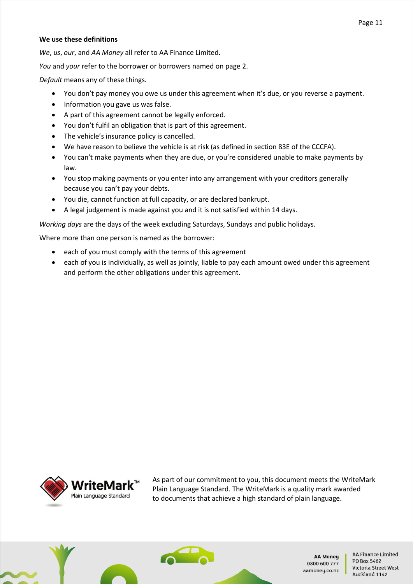# **We use these definitions**

*We*, *us*, *our*, and *AA Money* all refer to AA Finance Limited.

*You* and *your* refer to the borrower or borrowers named on page 2.

*Default* means any of these things.

- You don't pay money you owe us under this agreement when it's due, or you reverse a payment.
- Information you gave us was false.
- A part of this agreement cannot be legally enforced.
- You don't fulfil an obligation that is part of this agreement.
- The vehicle's insurance policy is cancelled.
- We have reason to believe the vehicle is at risk (as defined in section 83E of the CCCFA).
- You can't make payments when they are due, or you're considered unable to make payments by law.
- You stop making payments or you enter into any arrangement with your creditors generally because you can't pay your debts.
- You die, cannot function at full capacity, or are declared bankrupt.
- A legal judgement is made against you and it is not satisfied within 14 days.

*Working days* are the days of the week excluding Saturdays, Sundays and public holidays.

Where more than one person is named as the borrower:

- each of you must comply with the terms of this agreement
- each of you is individually, as well as jointly, liable to pay each amount owed under this agreement and perform the other obligations under this agreement.



As part of our commitment to you, this document meets the WriteMark Plain Language Standard. The WriteMark is a quality mark awarded to documents that achieve a high standard of plain language.



**AA Moneu** 0800 600 777 aamoney.co.nz

**AA Finance Limited** PO Box 5462 Victoria Street West Auckland 1142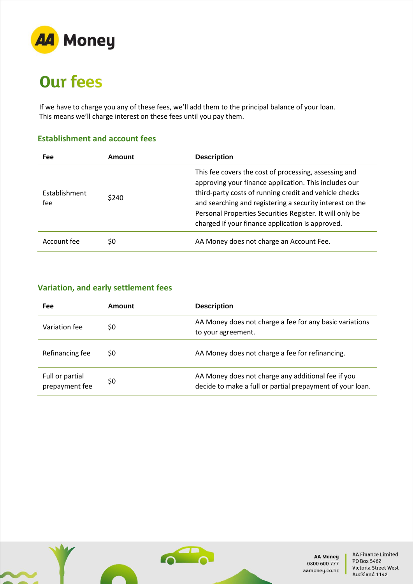

# **Our fees**

If we have to charge you any of these fees, we'll add them to the principal balance of your loan. This means we'll charge interest on these fees until you pay them.

# **Establishment and account fees**

| <b>Fee</b>           | Amount | <b>Description</b>                                                                                                                                                                                                                                                                                                                                   |
|----------------------|--------|------------------------------------------------------------------------------------------------------------------------------------------------------------------------------------------------------------------------------------------------------------------------------------------------------------------------------------------------------|
| Establishment<br>fee | \$240  | This fee covers the cost of processing, assessing and<br>approving your finance application. This includes our<br>third-party costs of running credit and vehicle checks<br>and searching and registering a security interest on the<br>Personal Properties Securities Register. It will only be<br>charged if your finance application is approved. |
| Account fee          | \$0    | AA Money does not charge an Account Fee.                                                                                                                                                                                                                                                                                                             |

# **Variation, and early settlement fees**

| Fee                               | Amount | <b>Description</b>                                                                                              |
|-----------------------------------|--------|-----------------------------------------------------------------------------------------------------------------|
| Variation fee                     | \$0    | AA Money does not charge a fee for any basic variations<br>to your agreement.                                   |
| Refinancing fee                   | \$0    | AA Money does not charge a fee for refinancing.                                                                 |
| Full or partial<br>prepayment fee | \$0    | AA Money does not charge any additional fee if you<br>decide to make a full or partial prepayment of your loan. |